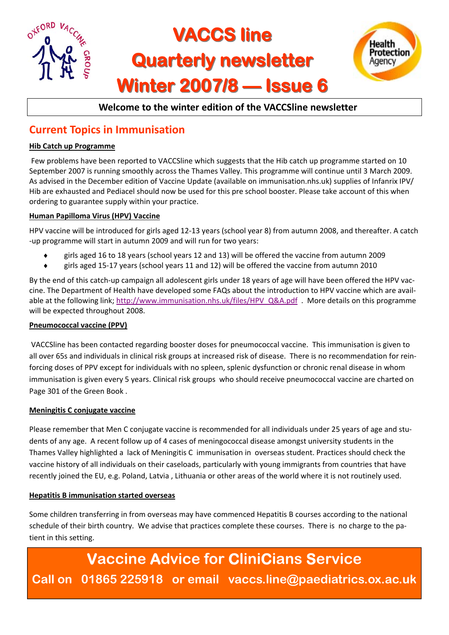

### **Welcome to the winter edition of the VACCSline newsletter**

## **Current Topics in Immunisation**

#### **Hib Catch up Programme**

Few problems have been reported to VACCSline which suggests that the Hib catch up programme started on 10 September 2007 is running smoothly across the Thames Valley. This programme will continue until 3 March 2009. As advised in the December edition of Vaccine Update (available on immunisation.nhs.uk) supplies of Infanrix IPV/ Hib are exhausted and Pediacel should now be used for this pre school booster. Please take account of this when ordering to guarantee supply within your practice.

#### **Human Papilloma Virus (HPV) Vaccine**

HPV vaccine will be introduced for girls aged 12‐13 years (school year 8) from autumn 2008, and thereafter. A catch ‐up programme will start in autumn 2009 and will run for two years:

- ♦ girls aged 16 to 18 years (school years 12 and 13) will be offered the vaccine from autumn 2009
- ♦ girls aged 15‐17 years (school years 11 and 12) will be offered the vaccine from autumn 2010

By the end of this catch-up campaign all adolescent girls under 18 years of age will have been offered the HPV vaccine. The Department of Health have developed some FAQs about the introduction to HPV vaccine which are avail‐ able at the following link; http://www.immunisation.nhs.uk/files/HPV\_Q&A.pdf . More details on this programme will be expected throughout 2008.

#### **Pneumococcal vaccine (PPV)**

VACCSline has been contacted regarding booster doses for pneumococcal vaccine. This immunisation is given to all over 65s and individuals in clinical risk groups at increased risk of disease. There is no recommendation for rein‐ forcing doses of PPV except for individuals with no spleen, splenic dysfunction or chronic renal disease in whom immunisation is given every 5 years. Clinical risk groups who should receive pneumococcal vaccine are charted on Page 301 of the Green Book .

#### **Meningitis C conjugate vaccine**

Please remember that Men C conjugate vaccine is recommended for all individuals under 25 years of age and stu‐ dents of any age. A recent follow up of 4 cases of meningococcal disease amongst university students in the Thames Valley highlighted a lack of Meningitis C immunisation in overseas student. Practices should check the vaccine history of all individuals on their caseloads, particularly with young immigrants from countries that have recently joined the EU, e.g. Poland, Latvia , Lithuania or other areas of the world where it is not routinely used.

#### **Hepatitis B immunisation started overseas**

Some children transferring in from overseas may have commenced Hepatitis B courses according to the national schedule of their birth country. We advise that practices complete these courses. There is no charge to the patient in this setting.

**Vaccine Advice for CliniCians Service Call on 01865 225918 or email vaccs.line@paediatrics.ox.ac.uk**